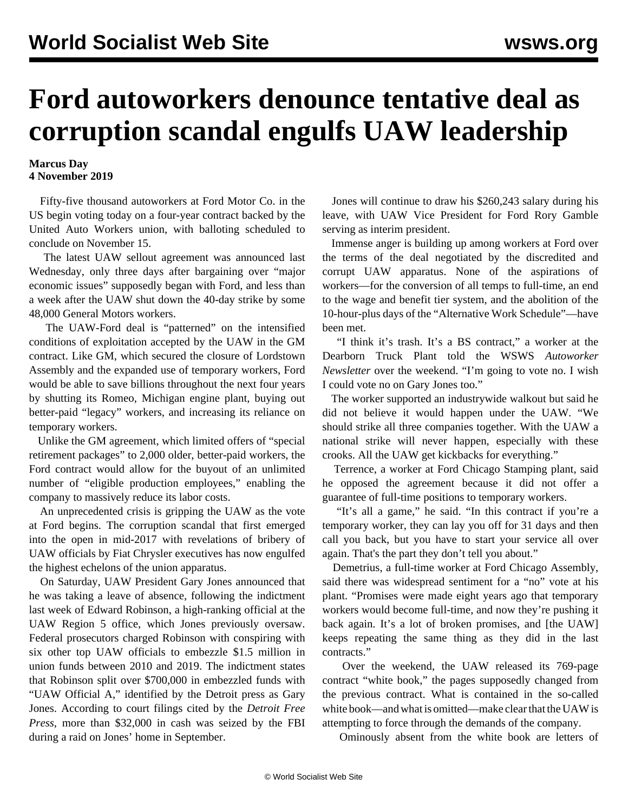## **Ford autoworkers denounce tentative deal as corruption scandal engulfs UAW leadership**

## **Marcus Day 4 November 2019**

 Fifty-five thousand autoworkers at Ford Motor Co. in the US begin voting today on a four-year contract backed by the United Auto Workers union, with balloting scheduled to conclude on November 15.

 The latest UAW sellout agreement was announced last Wednesday, only three days after bargaining over "major economic issues" supposedly began with Ford, and less than a week after the UAW shut down the 40-day strike by some 48,000 General Motors workers.

 The UAW-Ford deal is "patterned" on the intensified conditions of exploitation accepted by the UAW in the GM contract. Like GM, which secured the closure of Lordstown Assembly and the expanded use of temporary workers, Ford would be able to save billions throughout the next four years by shutting its Romeo, Michigan engine plant, buying out better-paid "legacy" workers, and increasing its reliance on temporary workers.

 Unlike the GM agreement, which limited offers of "special retirement packages" to 2,000 older, better-paid workers, the Ford contract would allow for the buyout of an unlimited number of "eligible production employees," enabling the company to massively reduce its labor costs.

 An unprecedented crisis is gripping the UAW as the vote at Ford begins. The corruption scandal that first emerged into the open in mid-2017 with revelations of bribery of UAW officials by Fiat Chrysler executives has now engulfed the highest echelons of the union apparatus.

 On Saturday, UAW President Gary Jones announced that he was taking a leave of absence, following the indictment last week of Edward Robinson, a high-ranking official at the UAW Region 5 office, which Jones previously oversaw. Federal prosecutors charged Robinson with conspiring with six other top UAW officials to embezzle \$1.5 million in union funds between 2010 and 2019. The indictment states that Robinson split over \$700,000 in embezzled funds with "UAW Official A," identified by the Detroit press as Gary Jones. According to court filings cited by the *Detroit Free Press*, more than \$32,000 in cash was seized by the FBI during a raid on Jones' home in September.

 Jones will continue to draw his \$260,243 salary during his leave, with UAW Vice President for Ford Rory Gamble serving as interim president.

 Immense anger is building up among workers at Ford over the terms of the deal negotiated by the discredited and corrupt UAW apparatus. None of the aspirations of workers—for the conversion of all temps to full-time, an end to the wage and benefit tier system, and the abolition of the 10-hour-plus days of the "Alternative Work Schedule"—have been met.

 "I think it's trash. It's a BS contract," a worker at the Dearborn Truck Plant told the WSWS *Autoworker Newsletter* over the weekend. "I'm going to vote no. I wish I could vote no on Gary Jones too."

 The worker supported an industrywide walkout but said he did not believe it would happen under the UAW. "We should strike all three companies together. With the UAW a national strike will never happen, especially with these crooks. All the UAW get kickbacks for everything."

 Terrence, a worker at Ford Chicago Stamping plant, said he opposed the agreement because it did not offer a guarantee of full-time positions to temporary workers.

 "It's all a game," he said. "In this contract if you're a temporary worker, they can lay you off for 31 days and then call you back, but you have to start your service all over again. That's the part they don't tell you about."

 Demetrius, a full-time worker at Ford Chicago Assembly, said there was widespread sentiment for a "no" vote at his plant. "Promises were made eight years ago that temporary workers would become full-time, and now they're pushing it back again. It's a lot of broken promises, and [the UAW] keeps repeating the same thing as they did in the last contracts."

 Over the weekend, the UAW released its [769-page](https://drive.google.com/file/d/11gMcWm8wQYOmRQhlwUPa7iWvP5YA0SjS/view) [contract "white book,"](https://drive.google.com/file/d/11gMcWm8wQYOmRQhlwUPa7iWvP5YA0SjS/view) the pages supposedly changed from the previous contract. What is contained in the so-called white book—and what is omitted—make clear that the UAW is attempting to force through the demands of the company.

Ominously absent from the white book are letters of